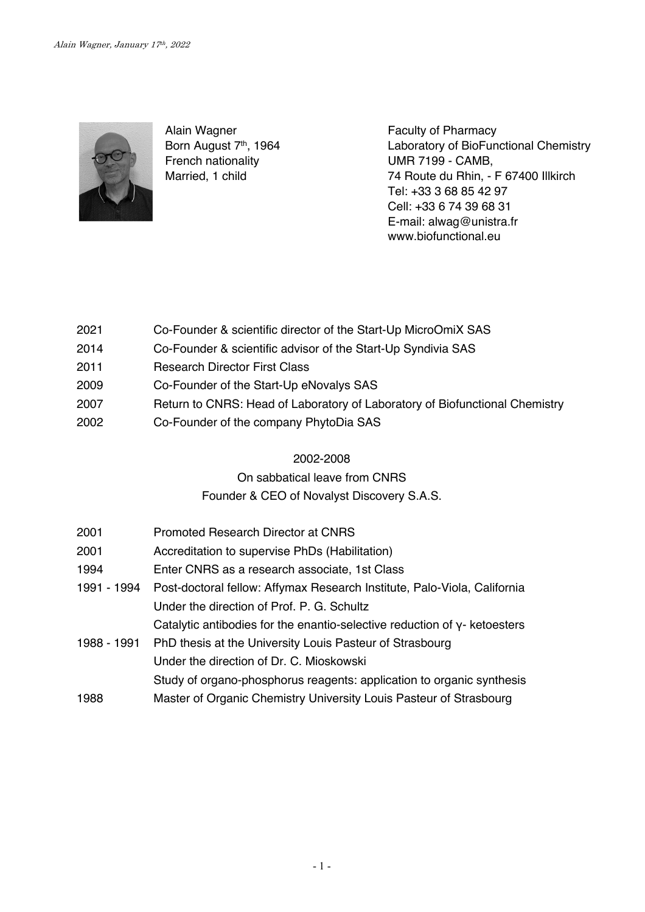

Alain Wagner Born August 7<sup>th</sup>, 1964 French nationality Married, 1 child

Faculty of Pharmacy Laboratory of BioFunctional Chemistry UMR 7199 - CAMB, 74 Route du Rhin, - F 67400 Illkirch Tel: +33 3 68 85 42 97 Cell: +33 6 74 39 68 31 E-mail: alwag@unistra.fr www.biofunctional.eu

- 2021 Co-Founder & scientific director of the Start-Up MicroOmiX SAS
- 2014 Co-Founder & scientific advisor of the Start-Up Syndivia SAS
- 2011 Research Director First Class
- 2009 Co-Founder of the Start-Up eNovalys SAS
- 2007 Return to CNRS: Head of Laboratory of Laboratory of Biofunctional Chemistry
- 2002 Co-Founder of the company PhytoDia SAS

## 2002-2008

## On sabbatical leave from CNRS

## Founder & CEO of Novalyst Discovery S.A.S.

| 2001        | Promoted Research Director at CNRS                                           |
|-------------|------------------------------------------------------------------------------|
| 2001        | Accreditation to supervise PhDs (Habilitation)                               |
| 1994        | Enter CNRS as a research associate, 1st Class                                |
| 1991 - 1994 | Post-doctoral fellow: Affymax Research Institute, Palo-Viola, California     |
|             | Under the direction of Prof. P. G. Schultz                                   |
|             | Catalytic antibodies for the enantio-selective reduction of $y$ - ketoesters |
| 1988 - 1991 | PhD thesis at the University Louis Pasteur of Strasbourg                     |
|             | Under the direction of Dr. C. Mioskowski                                     |
|             | Study of organo-phosphorus reagents: application to organic synthesis        |
| 1988        | Master of Organic Chemistry University Louis Pasteur of Strasbourg           |